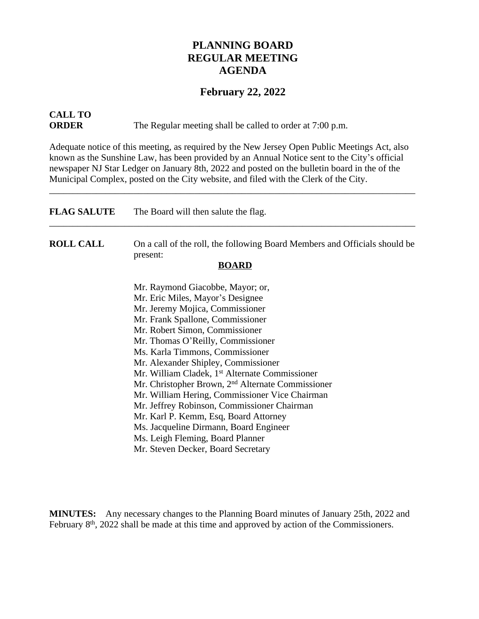## **PLANNING BOARD REGULAR MEETING AGENDA**

### **February 22, 2022**

# **CALL TO**

**ORDER** The Regular meeting shall be called to order at 7:00 p.m.

Adequate notice of this meeting, as required by the New Jersey Open Public Meetings Act, also known as the Sunshine Law, has been provided by an Annual Notice sent to the City's official newspaper NJ Star Ledger on January 8th, 2022 and posted on the bulletin board in the of the Municipal Complex, posted on the City website, and filed with the Clerk of the City.

\_\_\_\_\_\_\_\_\_\_\_\_\_\_\_\_\_\_\_\_\_\_\_\_\_\_\_\_\_\_\_\_\_\_\_\_\_\_\_\_\_\_\_\_\_\_\_\_\_\_\_\_\_\_\_\_\_\_\_\_\_\_\_\_\_\_\_\_\_\_\_\_\_\_\_\_\_\_

| <b>FLAG SALUTE</b> | The Board will then salute the flag.                                                   |
|--------------------|----------------------------------------------------------------------------------------|
| <b>ROLL CALL</b>   | On a call of the roll, the following Board Members and Officials should be<br>present: |
|                    | <b>BOARD</b>                                                                           |
|                    | Mr. Raymond Giacobbe, Mayor; or,                                                       |
|                    | Mr. Eric Miles, Mayor's Designee                                                       |
|                    | Mr. Jeremy Mojica, Commissioner                                                        |
|                    | Mr. Frank Spallone, Commissioner                                                       |
|                    | Mr. Robert Simon, Commissioner                                                         |
|                    | Mr. Thomas O'Reilly, Commissioner                                                      |
|                    | Ms. Karla Timmons, Commissioner                                                        |
|                    | Mr. Alexander Shipley, Commissioner                                                    |
|                    | Mr. William Cladek, 1 <sup>st</sup> Alternate Commissioner                             |
|                    | Mr. Christopher Brown, 2 <sup>nd</sup> Alternate Commissioner                          |
|                    | Mr. William Hering, Commissioner Vice Chairman                                         |
|                    | Mr. Jeffrey Robinson, Commissioner Chairman                                            |
|                    | Mr. Karl P. Kemm, Esq, Board Attorney                                                  |
|                    | Ms. Jacqueline Dirmann, Board Engineer                                                 |
|                    | Ms. Leigh Fleming, Board Planner                                                       |
|                    | Mr. Steven Decker, Board Secretary                                                     |

**MINUTES:** Any necessary changes to the Planning Board minutes of January 25th, 2022 and February 8<sup>th</sup>, 2022 shall be made at this time and approved by action of the Commissioners.